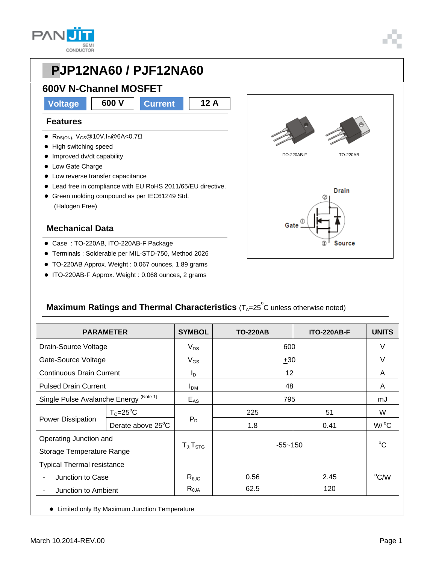

#### **600V N-Channel MOSFET**

**Voltage 600 V Current 12 A**

#### **Features**

- R<sub>DS(ON)</sub>, V<sub>GS</sub>@10V,I<sub>D</sub>@6A<0.7Ω
- High switching speed
- Improved dv/dt capability
- Low Gate Charge
- **•** Low reverse transfer capacitance
- Lead free in compliance with EU RoHS 2011/65/EU directive.
- Green molding compound as per IEC61249 Std. (Halogen Free)

#### **Mechanical Data**

- Case : TO-220AB, ITO-220AB-F Package
- Terminals : Solderable per MIL-STD-750, Method 2026
- TO-220AB Approx. Weight : 0.067 ounces, 1.89 grams
- ITO-220AB-F Approx. Weight : 0.068 ounces, 2 grams



#### **Maximum Ratings and Thermal Characteristics** (T<sub>A</sub>=25<sup>°</sup>C unless otherwise noted)

| <b>PARAMETER</b>                                          |                   | <b>SYMBOL</b>       | <b>TO-220AB</b> | <b>ITO-220AB-F</b> | <b>UNITS</b>    |  |  |
|-----------------------------------------------------------|-------------------|---------------------|-----------------|--------------------|-----------------|--|--|
| Drain-Source Voltage                                      |                   | $V_{DS}$            | 600             | V                  |                 |  |  |
| Gate-Source Voltage                                       |                   | $V_{GS}$            | ±30             | V                  |                 |  |  |
| <b>Continuous Drain Current</b>                           |                   | $I_D$               | 12              |                    | A               |  |  |
| <b>Pulsed Drain Current</b>                               |                   | I <sub>DM</sub>     | 48              | A                  |                 |  |  |
| Single Pulse Avalanche Energy <sup>(Note 1)</sup>         |                   | $E_{AS}$            | 795             | mJ                 |                 |  |  |
| Power Dissipation                                         | $T_c = 25$ °C     | $P_D$               | 225             | 51                 | W               |  |  |
|                                                           | Derate above 25°C |                     | 1.8             | 0.41               | $W/{}^{\circ}C$ |  |  |
| Operating Junction and<br>Storage Temperature Range       |                   | $T_{J}$ , $T_{STG}$ | $-55 - 150$     |                    | $^{\circ}C$     |  |  |
| <b>Typical Thermal resistance</b>                         |                   |                     |                 |                    |                 |  |  |
| Junction to Case                                          |                   | $R_{\theta$ JC      | 0.56            | 2.45               | $^{\circ}$ C/W  |  |  |
| Junction to Ambient                                       |                   | $R_{\theta$ JA      | 62.5            | 120                |                 |  |  |
| Limited only By Maximum Junction Temperature<br>$\bullet$ |                   |                     |                 |                    |                 |  |  |

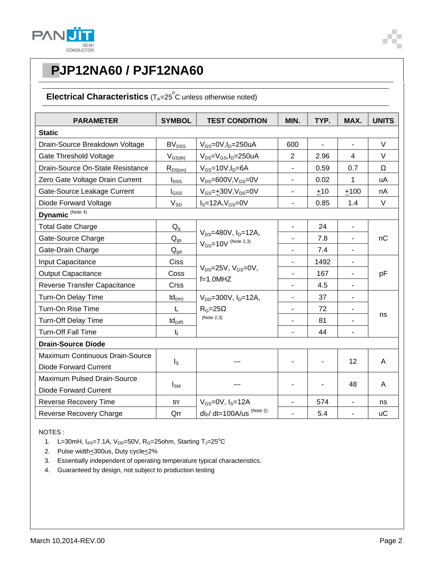

#### **Electrical Characteristics** (T<sub>A</sub>=25<sup>°</sup>C unless otherwise noted)

| <b>PARAMETER</b>                                | <b>SYMBOL</b>                                                                             | <b>TEST CONDITION</b>                     | MIN.                         | TYP. | MAX.                     | <b>UNITS</b> |
|-------------------------------------------------|-------------------------------------------------------------------------------------------|-------------------------------------------|------------------------------|------|--------------------------|--------------|
| <b>Static</b>                                   |                                                                                           |                                           |                              |      |                          |              |
| Drain-Source Breakdown Voltage                  | BV <sub>DSS</sub>                                                                         | $V_{GS}$ =0V,I <sub>D</sub> =250uA        | 600                          | ä,   | $\blacksquare$           | $\vee$       |
| Gate Threshold Voltage                          | $V_{GS(th)}$                                                                              | $V_{DS} = V_{GS}$ , I <sub>D</sub> =250uA | 2                            | 2.96 | $\overline{4}$           | V            |
| Drain-Source On-State Resistance                | $R_{DS(on)}$                                                                              | $V_{GS}$ =10V, $I_D$ =6A                  | $\overline{\phantom{a}}$     | 0.59 | 0.7                      | Ω            |
| Zero Gate Voltage Drain Current                 | $I_{DSS}$                                                                                 | $V_{DS} = 600V$ , $V_{GS} = 0V$           |                              | 0.02 | 1                        | uA           |
| Gate-Source Leakage Current                     | $I_{GSS}$                                                                                 | $V_{GS} = \pm 30V, V_{DS} = 0V$           | $\overline{\phantom{a}}$     | ±10  | ±100                     | nA           |
| Diode Forward Voltage                           | $V_{SD}$                                                                                  | $IS=12A, VGS=0V$                          | $\blacksquare$               | 0.85 | 1.4                      | $\vee$       |
| Dynamic <sup>(Note 4)</sup>                     |                                                                                           |                                           |                              |      |                          |              |
| <b>Total Gate Charge</b>                        | $\mathsf{Q}_{\text{g}}$                                                                   |                                           | $\frac{1}{2}$                | 24   | $\blacksquare$           |              |
| Gate-Source Charge                              | $V_{DS} = 480V$ , $I_{D} = 12A$ ,<br>$\mathsf{Q}_{\text{gs}}$<br>$V_{GS}$ =10V (Note 2,3) |                                           |                              | 7.8  | $\blacksquare$           | nC           |
| Gate-Drain Charge                               | $Q_{gd}$                                                                                  |                                           |                              | 7.4  | $\overline{\phantom{a}}$ |              |
| Input Capacitance                               | Ciss                                                                                      |                                           |                              | 1492 | $\blacksquare$           | pF           |
| <b>Output Capacitance</b>                       | Coss                                                                                      | $V_{DS}$ =25V, $V_{GS}$ =0V,              | $\blacksquare$               | 167  | $\blacksquare$           |              |
| Reverse Transfer Capacitance                    | Crss                                                                                      | $f=1.0$ MHZ                               | ÷,                           | 4.5  | $\overline{\phantom{a}}$ |              |
| Turn-On Delay Time                              | $td_{(on)}$                                                                               | $V_{DD} = 300V$ , $I_D = 12A$             | $\overline{a}$               | 37   | $\blacksquare$           |              |
| Turn-On Rise Time                               | $t_{r}$                                                                                   | $R_G = 25\Omega$<br>(Note 2,3)            | $\overline{a}$               | 72   | $\overline{\phantom{a}}$ | ns           |
| <b>Turn-Off Delay Time</b>                      | $td_{(off)}$                                                                              |                                           | $\qquad \qquad \blacksquare$ | 81   | $\overline{\phantom{a}}$ |              |
| <b>Turn-Off Fall Time</b>                       | $t_{f}$                                                                                   |                                           |                              | 44   |                          |              |
| <b>Drain-Source Diode</b>                       |                                                                                           |                                           |                              |      |                          |              |
| Maximum Continuous Drain-Source                 |                                                                                           |                                           |                              |      | 12                       | A            |
| <b>Diode Forward Current</b>                    | $I_{\rm S}$                                                                               |                                           |                              |      |                          |              |
| Maximum Pulsed Drain-Source                     |                                                                                           |                                           |                              |      | 48                       | A            |
| $I_{\text{SM}}$<br><b>Diode Forward Current</b> |                                                                                           |                                           |                              |      |                          |              |
| <b>Reverse Recovery Time</b>                    | trr                                                                                       | $V_{GS}$ =0V, $I_S$ =12A                  |                              | 574  | $\blacksquare$           | ns           |
| Reverse Recovery Charge                         | Qrr                                                                                       | $dl_F/dt = 100A/us$ (Note 2)              | ä,                           | 5.4  | ÷,                       | <b>uC</b>    |

NOTES :

- 1. L=30mH,  $I_{AS}$ =7.1A,  $V_{DD}$ =50V, R<sub>G</sub>=25ohm, Starting T<sub>J</sub>=25<sup>°</sup>C
- 2. Pulse width<300us, Duty cycle<2%
- 3. Essentially independent of operating temperature typical characteristics.
- 4. Guaranteed by design, not subject to production testing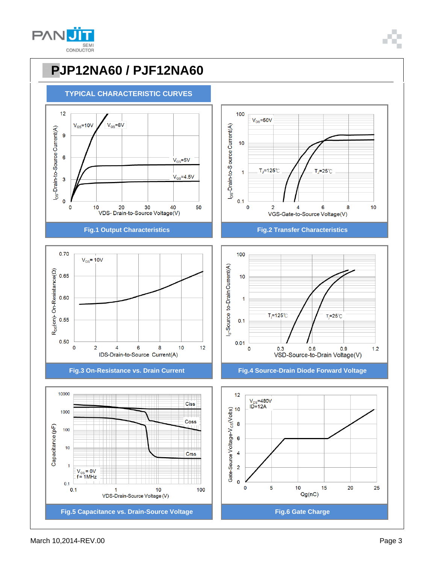











**Fig.3 On-Resistance vs. Drain Current Fig.4 Source-Drain Diode Forward Voltage**



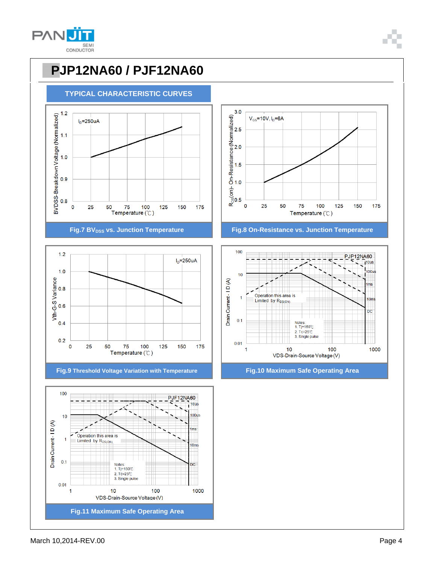













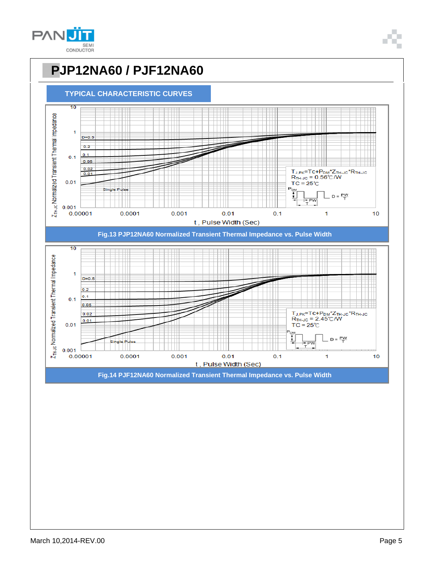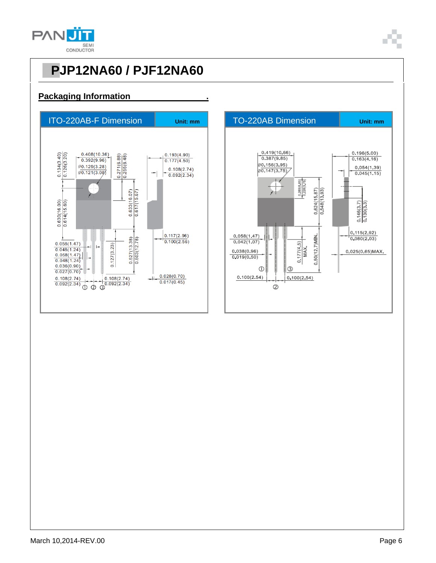

#### **Packaging Information .**



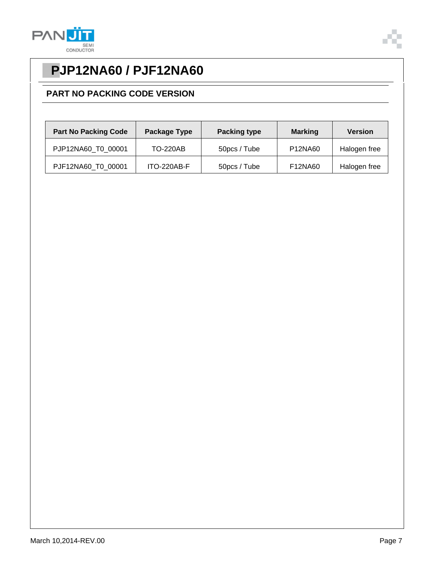



#### **PART NO PACKING CODE VERSION**

| <b>Part No Packing Code</b> | Package Type    | <b>Packing type</b> | <b>Marking</b> | <b>Version</b> |
|-----------------------------|-----------------|---------------------|----------------|----------------|
| PJP12NA60 T0 00001          | <b>TO-220AB</b> | 50pcs / Tube        | P12NA60        | Halogen free   |
| PJF12NA60 T0 00001          | ITO-220AB-F     | 50pcs / Tube        | F12NA60        | Halogen free   |